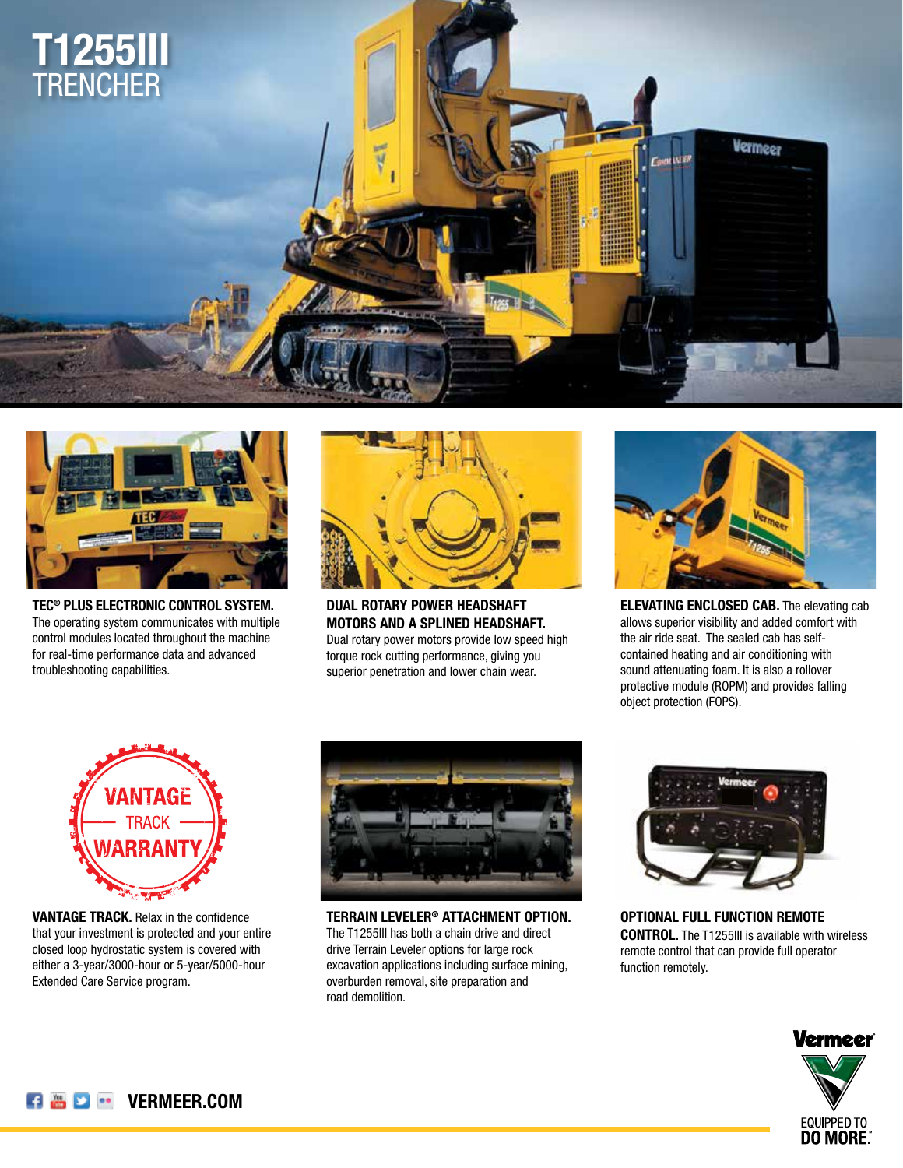



**TEC® PLUS ELECTRONIC CONTROL SYSTEM.** The operating system communicates with multiple control modules located throughout the machine for real-time performance data and advanced troubleshooting capabilities.



**DUAL ROTARY POWER HEADSHAFT MOTORS AND A SPLINED HEADSHAFT.** Dual rotary power motors provide low speed high torque rock cutting performance, giving you superior penetration and lower chain wear.



**ELEVATING ENCLOSED CAB.** The elevating cab allows superior visibility and added comfort with the air ride seat. The sealed cab has selfcontained heating and air conditioning with sound attenuating foam. It is also a rollover protective module (ROPM) and provides falling object protection (FOPS).



**VANTAGE TRACK.** Relax in the confidence that your investment is protected and your entire closed loop hydrostatic system is covered with either a 3-year/3000-hour or 5-year/5000-hour Extended Care Service program.



**TERRAIN LEVELER® ATTACHMENT OPTION.** The T1255III has both a chain drive and direct drive Terrain Leveler options for large rock excavation applications including surface mining, overburden removal, site preparation and road demolition.



**OPTIONAL FULL FUNCTION REMOTE CONTROL.** The T1255III is available with wireless remote control that can provide full operator function remotely.